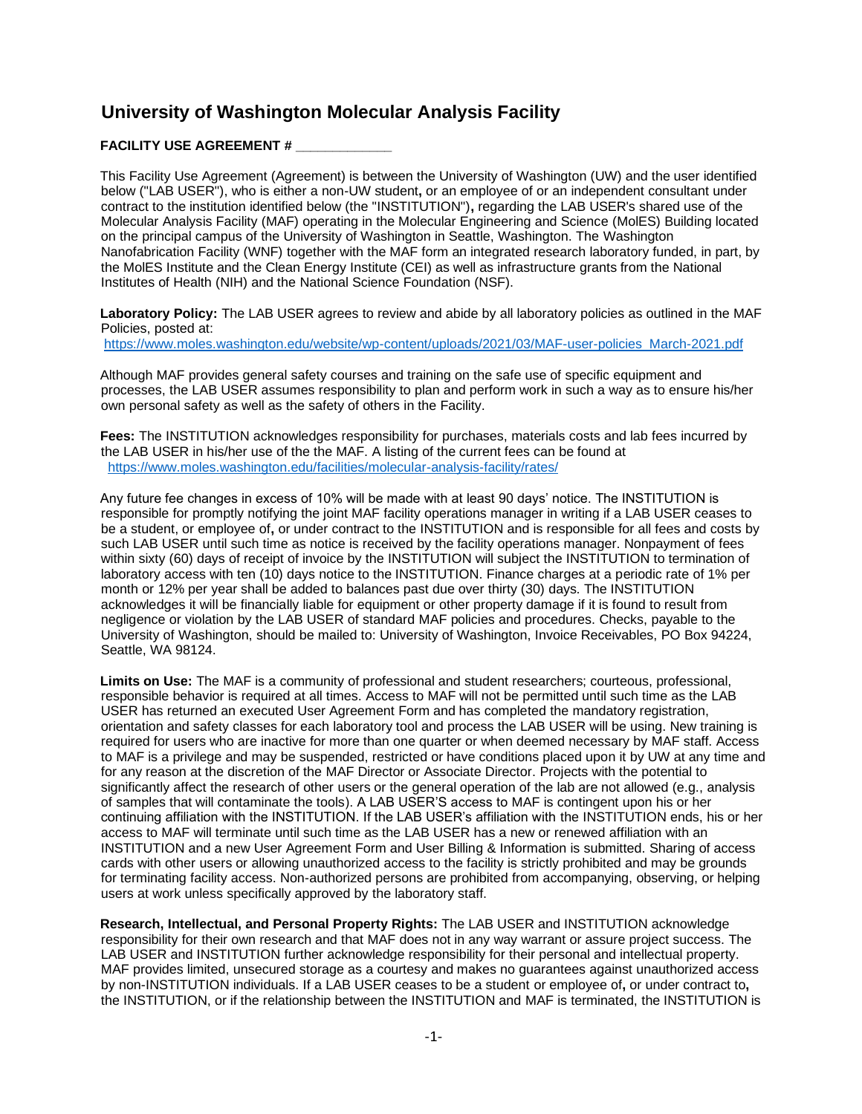## **University of Washington Molecular Analysis Facility**

## **FACILITY USE AGREEMENT # \_\_\_\_\_\_\_\_\_\_\_\_\_**

This Facility Use Agreement (Agreement) is between the University of Washington (UW) and the user identified below ("LAB USER"), who is either a non-UW student**,** or an employee of or an independent consultant under contract to the institution identified below (the "INSTITUTION")**,** regarding the LAB USER's shared use of the Molecular Analysis Facility (MAF) operating in the Molecular Engineering and Science (MolES) Building located on the principal campus of the University of Washington in Seattle, Washington. The Washington Nanofabrication Facility (WNF) together with the MAF form an integrated research laboratory funded, in part, by the MolES Institute and the Clean Energy Institute (CEI) as well as infrastructure grants from the National Institutes of Health (NIH) and the National Science Foundation (NSF).

**Laboratory Policy:** The LAB USER agrees to review and abide by all laboratory policies as outlined in the MAF Policies, posted at:

[https://www.moles.washington.edu/website/wp-content/uploads/2021/03/MAF-user-policies\\_March-2021.pdf](https://www.moles.washington.edu/website/wp-content/uploads/2021/03/MAF-user-policies_March-2021.pdf)

Although MAF provides general safety courses and training on the safe use of specific equipment and processes, the LAB USER assumes responsibility to plan and perform work in such a way as to ensure his/her own personal safety as well as the safety of others in the Facility.

**Fees:** The INSTITUTION acknowledges responsibility for purchases, materials costs and lab fees incurred by the LAB USER in his/her use of the the MAF. A listing of the current fees can be found at <https://www.moles.washington.edu/facilities/molecular-analysis-facility/rates/>

Any future fee changes in excess of 10% will be made with at least 90 days' notice. The INSTITUTION is responsible for promptly notifying the joint MAF facility operations manager in writing if a LAB USER ceases to be a student, or employee of**,** or under contract to the INSTITUTION and is responsible for all fees and costs by such LAB USER until such time as notice is received by the facility operations manager. Nonpayment of fees within sixty (60) days of receipt of invoice by the INSTITUTION will subject the INSTITUTION to termination of laboratory access with ten (10) days notice to the INSTITUTION. Finance charges at a periodic rate of 1% per month or 12% per year shall be added to balances past due over thirty (30) days. The INSTITUTION acknowledges it will be financially liable for equipment or other property damage if it is found to result from negligence or violation by the LAB USER of standard MAF policies and procedures. Checks, payable to the University of Washington, should be mailed to: University of Washington, Invoice Receivables, PO Box 94224, Seattle, WA 98124.

**Limits on Use:** The MAF is a community of professional and student researchers; courteous, professional, responsible behavior is required at all times. Access to MAF will not be permitted until such time as the LAB USER has returned an executed User Agreement Form and has completed the mandatory registration, orientation and safety classes for each laboratory tool and process the LAB USER will be using. New training is required for users who are inactive for more than one quarter or when deemed necessary by MAF staff. Access to MAF is a privilege and may be suspended, restricted or have conditions placed upon it by UW at any time and for any reason at the discretion of the MAF Director or Associate Director. Projects with the potential to significantly affect the research of other users or the general operation of the lab are not allowed (e.g., analysis of samples that will contaminate the tools). A LAB USER'S access to MAF is contingent upon his or her continuing affiliation with the INSTITUTION. If the LAB USER's affiliation with the INSTITUTION ends, his or her access to MAF will terminate until such time as the LAB USER has a new or renewed affiliation with an INSTITUTION and a new User Agreement Form and User Billing & Information is submitted. Sharing of access cards with other users or allowing unauthorized access to the facility is strictly prohibited and may be grounds for terminating facility access. Non-authorized persons are prohibited from accompanying, observing, or helping users at work unless specifically approved by the laboratory staff.

**Research, Intellectual, and Personal Property Rights:** The LAB USER and INSTITUTION acknowledge responsibility for their own research and that MAF does not in any way warrant or assure project success. The LAB USER and INSTITUTION further acknowledge responsibility for their personal and intellectual property. MAF provides limited, unsecured storage as a courtesy and makes no guarantees against unauthorized access by non-INSTITUTION individuals. If a LAB USER ceases to be a student or employee of**,** or under contract to**,**  the INSTITUTION, or if the relationship between the INSTITUTION and MAF is terminated, the INSTITUTION is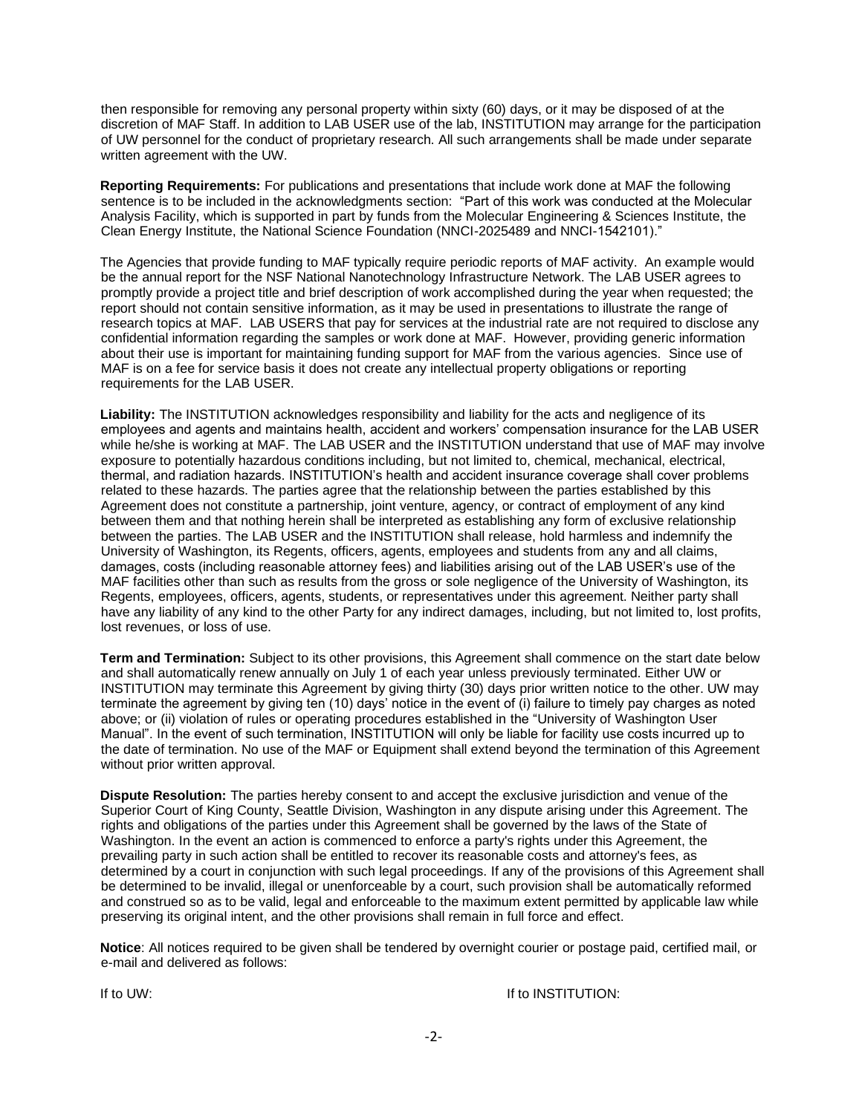then responsible for removing any personal property within sixty (60) days, or it may be disposed of at the discretion of MAF Staff. In addition to LAB USER use of the lab, INSTITUTION may arrange for the participation of UW personnel for the conduct of proprietary research. All such arrangements shall be made under separate written agreement with the UW.

**Reporting Requirements:** For publications and presentations that include work done at MAF the following sentence is to be included in the acknowledgments section:"Part of this work was conducted at the Molecular Analysis Facility, which is supported in part by funds from the Molecular Engineering & Sciences Institute, the Clean Energy Institute, the National Science Foundation (NNCI-2025489 and NNCI-1542101)."

The Agencies that provide funding to MAF typically require periodic reports of MAF activity. An example would be the annual report for the NSF National Nanotechnology Infrastructure Network. The LAB USER agrees to promptly provide a project title and brief description of work accomplished during the year when requested; the report should not contain sensitive information, as it may be used in presentations to illustrate the range of research topics at MAF. LAB USERS that pay for services at the industrial rate are not required to disclose any confidential information regarding the samples or work done at MAF. However, providing generic information about their use is important for maintaining funding support for MAF from the various agencies. Since use of MAF is on a fee for service basis it does not create any intellectual property obligations or reporting requirements for the LAB USER.

**Liability:** The INSTITUTION acknowledges responsibility and liability for the acts and negligence of its employees and agents and maintains health, accident and workers' compensation insurance for the LAB USER while he/she is working at MAF. The LAB USER and the INSTITUTION understand that use of MAF may involve exposure to potentially hazardous conditions including, but not limited to, chemical, mechanical, electrical, thermal, and radiation hazards. INSTITUTION's health and accident insurance coverage shall cover problems related to these hazards. The parties agree that the relationship between the parties established by this Agreement does not constitute a partnership, joint venture, agency, or contract of employment of any kind between them and that nothing herein shall be interpreted as establishing any form of exclusive relationship between the parties. The LAB USER and the INSTITUTION shall release, hold harmless and indemnify the University of Washington, its Regents, officers, agents, employees and students from any and all claims, damages, costs (including reasonable attorney fees) and liabilities arising out of the LAB USER's use of the MAF facilities other than such as results from the gross or sole negligence of the University of Washington, its Regents, employees, officers, agents, students, or representatives under this agreement. Neither party shall have any liability of any kind to the other Party for any indirect damages, including, but not limited to, lost profits, lost revenues, or loss of use.

**Term and Termination:** Subject to its other provisions, this Agreement shall commence on the start date below and shall automatically renew annually on July 1 of each year unless previously terminated. Either UW or INSTITUTION may terminate this Agreement by giving thirty (30) days prior written notice to the other. UW may terminate the agreement by giving ten (10) days' notice in the event of (i) failure to timely pay charges as noted above; or (ii) violation of rules or operating procedures established in the "University of Washington User Manual". In the event of such termination, INSTITUTION will only be liable for facility use costs incurred up to the date of termination. No use of the MAF or Equipment shall extend beyond the termination of this Agreement without prior written approval.

**Dispute Resolution:** The parties hereby consent to and accept the exclusive jurisdiction and venue of the Superior Court of King County, Seattle Division, Washington in any dispute arising under this Agreement. The rights and obligations of the parties under this Agreement shall be governed by the laws of the State of Washington. In the event an action is commenced to enforce a party's rights under this Agreement, the prevailing party in such action shall be entitled to recover its reasonable costs and attorney's fees, as determined by a court in conjunction with such legal proceedings. If any of the provisions of this Agreement shall be determined to be invalid, illegal or unenforceable by a court, such provision shall be automatically reformed and construed so as to be valid, legal and enforceable to the maximum extent permitted by applicable law while preserving its original intent, and the other provisions shall remain in full force and effect.

**Notice**: All notices required to be given shall be tendered by overnight courier or postage paid, certified mail, or e-mail and delivered as follows:

If to UW: If to INSTITUTION: